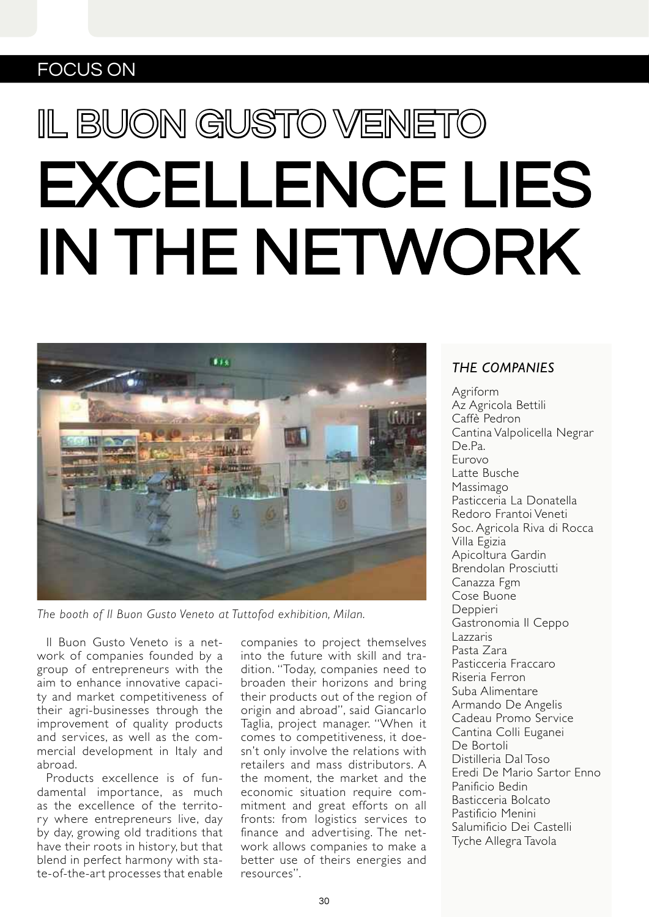## FOCUS ON

## EXCELLENCE LIES IN THE NETWORK IL BUON GUSTO VENETO



*The booth of Il Buon Gusto Veneto at Tuttofod exhibition, Milan.*

Il Buon Gusto Veneto is a network of companies founded by a group of entrepreneurs with the aim to enhance innovative capacity and market competitiveness of their agri-businesses through the improvement of quality products and services, as well as the commercial development in Italy and abroad.

Products excellence is of fundamental importance, as much as the excellence of the territory where entrepreneurs live, day by day, growing old traditions that have their roots in history, but that blend in perfect harmony with state-of-the-art processes that enable companies to project themselves into the future with skill and tradition. "Today, companies need to broaden their horizons and bring their products out of the region of origin and abroad", said Giancarlo Taglia, project manager. "When it comes to competitiveness, it doesn't only involve the relations with retailers and mass distributors. A the moment, the market and the economic situation require commitment and great efforts on all fronts: from logistics services to finance and advertising. The network allows companies to make a better use of theirs energies and resources".

## *THE COMPANIES*

Agriform Az Agricola Bettili Caffè Pedron Cantina Valpolicella Negrar De.Pa. Eurovo Latte Busche Massimago Pasticceria La Donatella Redoro Frantoi Veneti Soc. Agricola Riva di Rocca Villa Egizia Apicoltura Gardin Brendolan Prosciutti Canazza Fgm Cose Buone Deppieri Gastronomia Il Ceppo Lazzaris Pasta Zara Pasticceria Fraccaro Riseria Ferron Suba Alimentare Armando De Angelis Cadeau Promo Service Cantina Colli Euganei De Bortoli Distilleria Dal Toso Eredi De Mario Sartor Enno Panificio Bedin Basticceria Bolcato Pastificio Menini Salumificio Dei Castelli Tyche Allegra Tavola